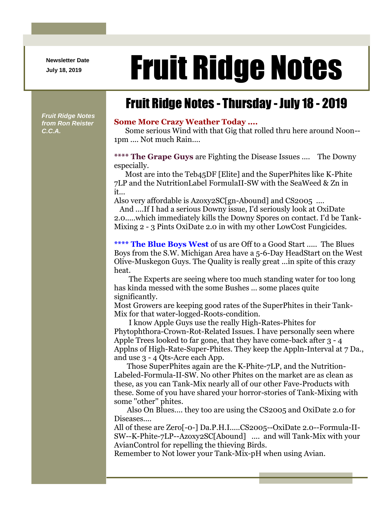**Newsletter Date**

## Newsletter Date **Fruit Ridge Notes**

## Fruit Ridge Notes - Thursday - July 18 - 2019

*Fruit Ridge Notes from Ron Reister C.C.A.*

## **Some More Crazy Weather Today ....**

Some serious Wind with that Gig that rolled thru here around Noon-- 1pm .... Not much Rain....

**\*\*\*\* The Grape Guys** are Fighting the Disease Issues .... The Downy especially.

Most are into the Teb45DF [Elite] and the SuperPhites like K-Phite 7LP and the NutritionLabel FormulaII-SW with the SeaWeed & Zn in it...

Also very affordable is Azoxy2SC[gn-Abound] and CS2005 ....

And ....If I had a serious Downy issue, I'd seriously look at OxiDate 2.0.....which immediately kills the Downy Spores on contact. I'd be Tank-Mixing 2 - 3 Pints OxiDate 2.0 in with my other LowCost Fungicides.

**\*\*\*\* The Blue Boys West** of us are Off to a Good Start ..... The Blues Boys from the S.W. Michigan Area have a 5-6-Day HeadStart on the West Olive-Muskegon Guys. The Quality is really great ...in spite of this crazy heat.

The Experts are seeing where too much standing water for too long has kinda messed with the some Bushes ... some places quite significantly.

Most Growers are keeping good rates of the SuperPhites in their Tank-Mix for that water-logged-Roots-condition.

I know Apple Guys use the really High-Rates-Phites for Phytophthora-Crown-Rot-Related Issues. I have personally seen where Apple Trees looked to far gone, that they have come-back after 3 - 4 Applns of High-Rate-Super-Phites. They keep the Appln-Interval at 7 Da., and use 3 - 4 Qts-Acre each App.

Those SuperPhites again are the K-Phite-7LP, and the Nutrition-Labeled-Formula-II-SW. No other Phites on the market are as clean as these, as you can Tank-Mix nearly all of our other Fave-Products with these. Some of you have shared your horror-stories of Tank-Mixing with some ''other'' phites.

Also On Blues.... they too are using the CS2005 and OxiDate 2.0 for Diseases....

All of these are Zero[-0-] Da.P.H.I.....CS2005--OxiDate 2.0--Formula-II-SW--K-Phite-7LP--Azoxy2SC[Abound] .... and will Tank-Mix with your AvianControl for repelling the thieving Birds.

Remember to Not lower your Tank-Mix-pH when using Avian.